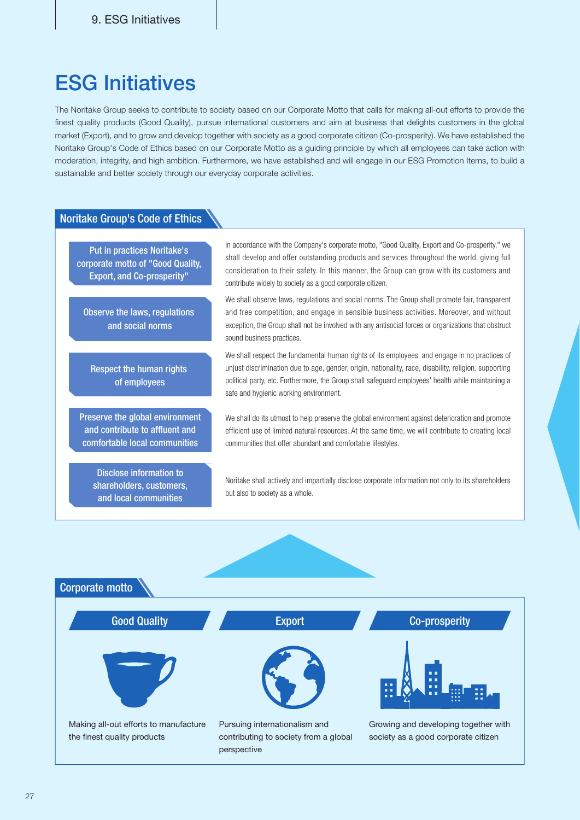## **ESG Initiatives**

The Noritake Group seeks to contribute to society based on our Corporate Motto that calls for making all-out efforts to provide the finest quality products (Good Quality), pursue international customers and aim at business that delights customers in the global market (Export), and to grow and develop together with society as a good corporate citizen (Co-prosperity). We have established the Noritake Group's Code of Ethics based on our Corporate Motto as a quiding principle by which all employees can take action with moderation, integrity, and high ambition. Furthermore, we have established and will engage in our ESG Promotion Items, to build a sustainable and better society through our everyday corporate activities.

## Noritake Group's Code of Ethics

Put in practices Noritake's corporate motto of "Good Quality, Export, and Co-prosperity"

Observe the laws, regulations and social norms

Respect the human rights of employees

Preserve the global environment and contribute to affluent and comfortable local communities

Disclose information to shareholders, customers, and local communities

In accordance with the Company's corporate motto, "Good Quality, Export and Co-prosperity," we shall develop and offer outstanding products and services throughout the world, giving full consideration to their safety. In this manner, the Group can grow with its customers and contribute widely to society as a good corporate citizen.

We shall observe laws, regulations and social norms. The Group shall promote fair, transparent and free competition, and engage in sensible business activities. Moreover, and without exception, the Group shall not be involved with any antisocial forces or organizations that obstruct sound business practices.

We shall respect the fundamental human rights of its employees, and engage in no practices of unjust discrimination due to age, gender, origin, nationality, race, disability, religion, supporting political party, etc. Furthermore, the Group shall safeguard employees' health while maintaining a safe and hygienic working environment.

We shall do its utmost to help preserve the global environment against deterioration and promote efficient use of limited natural resources. At the same time, we will contribute to creating local communities that offer abundant and comfortable lifestyles.

Noritake shall actively and impartially disclose corporate information not only to its shareholders but also to society as a whole.